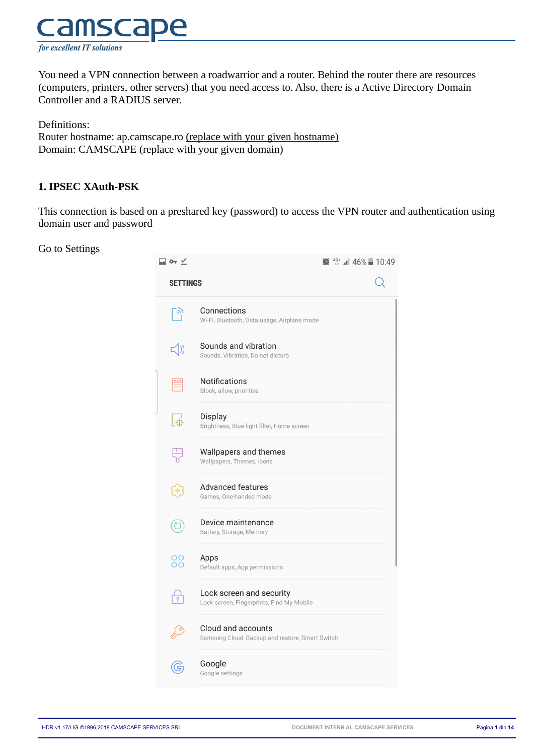

You need a VPN connection between a roadwarrior and a router. Behind the router there are resources (computers, printers, other servers) that you need access to. Also, there is a Active Directory Domain Controller and a RADIUS server.

Definitions:

Router hostname: ap.camscape.ro (replace with your given hostname) Domain: CAMSCAPE (replace with your given domain)

#### **1. IPSEC XAuth-PSK**

This connection is based on a preshared key (password) to access the VPN router and authentication using domain user and password

#### Go to Settings

| / ०+ ⊻              |                                                                       | $4G^+$ all 46% 10:49 |
|---------------------|-----------------------------------------------------------------------|----------------------|
| <b>SETTINGS</b>     |                                                                       |                      |
| لئا                 | Connections<br>Wi-Fi, Bluetooth, Data usage, Airplane mode            |                      |
| $\preceq$ $\ket{)}$ | Sounds and vibration<br>Sounds, Vibration, Do not disturb             |                      |
|                     | <b>Notifications</b><br>Block, allow, prioritize                      |                      |
| ∣¤ل                 | Display<br>Brightness, Blue light filter, Home screen                 |                      |
|                     | Wallpapers and themes<br>Wallpapers, Themes, Icons                    |                      |
| 芯                   | <b>Advanced features</b><br>Games, One-handed mode                    |                      |
| $\bigcirc$          | Device maintenance<br>Battery, Storage, Memory                        |                      |
| $\frac{00}{00}$     | Apps<br>Default apps, App permissions                                 |                      |
| $\overline{P}$      | Lock screen and security<br>Lock screen, Fingerprints, Find My Mobile |                      |
|                     | Cloud and accounts<br>Samsung Cloud, Backup and restore, Smart Switch |                      |
|                     | Google<br>Google settings                                             |                      |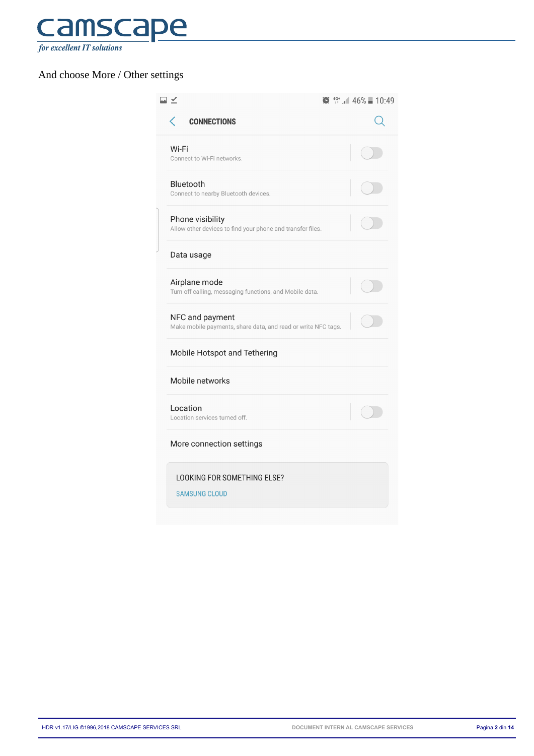

## And choose More / Other settings

|                                                                                  | $\bullet$ $46^{\circ}$ 46% 10:49 |
|----------------------------------------------------------------------------------|----------------------------------|
| <b>CONNECTIONS</b>                                                               |                                  |
| Wi-Fi<br>Connect to Wi-Fi networks.                                              |                                  |
| Bluetooth<br>Connect to nearby Bluetooth devices.                                |                                  |
| Phone visibility<br>Allow other devices to find your phone and transfer files.   |                                  |
| Data usage                                                                       |                                  |
| Airplane mode<br>Turn off calling, messaging functions, and Mobile data.         |                                  |
| NFC and payment<br>Make mobile payments, share data, and read or write NFC tags. |                                  |
| Mobile Hotspot and Tethering                                                     |                                  |
| Mobile networks                                                                  |                                  |
| Location<br>Location services turned off.                                        |                                  |
| More connection settings                                                         |                                  |
| <b>LOOKING FOR SOMETHING ELSE?</b><br><b>SAMSUNG CLOUD</b>                       |                                  |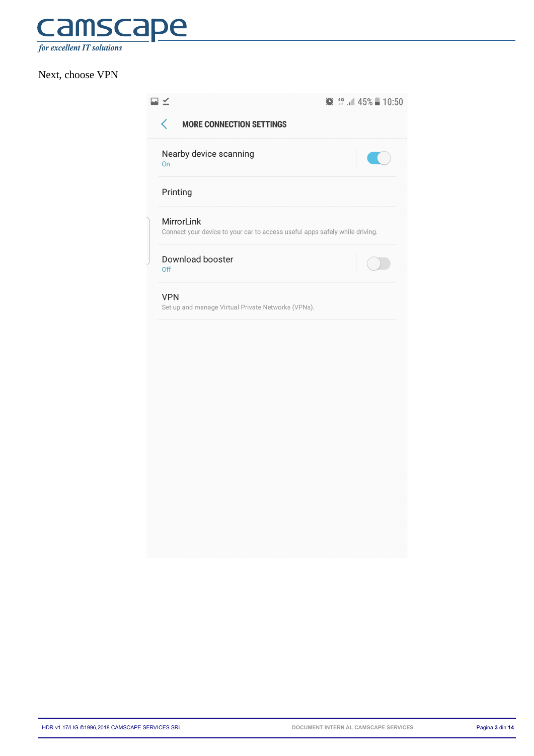

#### Next, choose VPN

| ⊡ ⊻                                                                                       | $\bullet$ $^{46}$ $\cdot$ 45% 10:50 |
|-------------------------------------------------------------------------------------------|-------------------------------------|
| <b>MORE CONNECTION SETTINGS</b><br>く                                                      |                                     |
| Nearby device scanning<br>On                                                              |                                     |
| Printing                                                                                  |                                     |
| MirrorLink<br>Connect your device to your car to access useful apps safely while driving. |                                     |
| Download booster<br>Off                                                                   |                                     |
| <b>VPN</b><br>Set up and manage Virtual Private Networks (VPNs).                          |                                     |
|                                                                                           |                                     |
|                                                                                           |                                     |
|                                                                                           |                                     |
|                                                                                           |                                     |
|                                                                                           |                                     |
|                                                                                           |                                     |
|                                                                                           |                                     |
|                                                                                           |                                     |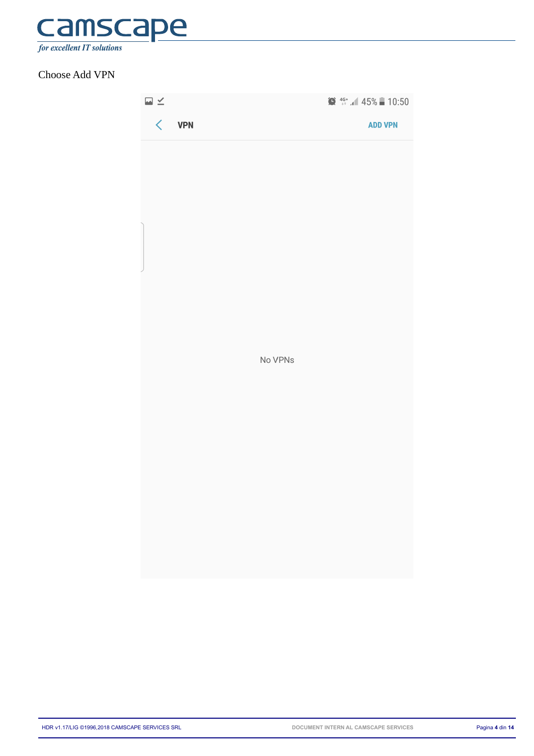

## Choose Add VPN

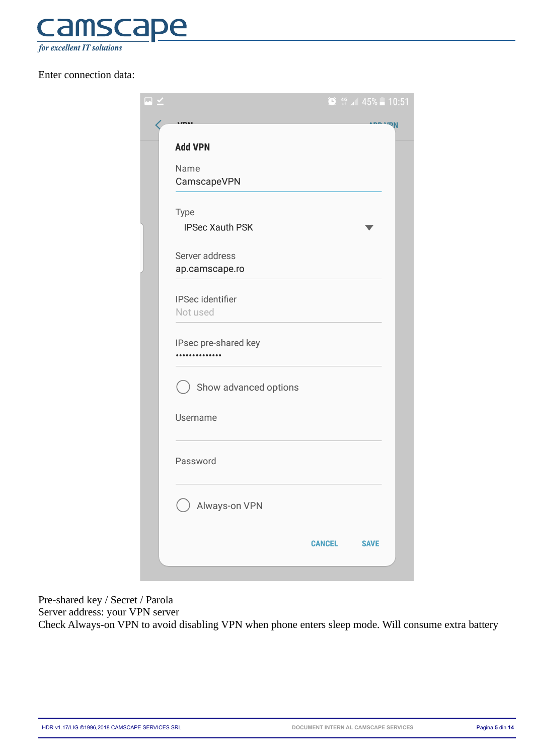

#### Enter connection data:

|                         |               | $\bullet$ 46 $\cdot$ 45% 10:51 |
|-------------------------|---------------|--------------------------------|
|                         |               | April 201                      |
| <b>Add VPN</b>          |               |                                |
| Name                    |               |                                |
| CamscapeVPN             |               |                                |
| Type                    |               |                                |
| <b>IPSec Xauth PSK</b>  |               |                                |
| Server address          |               |                                |
| ap.camscape.ro          |               |                                |
| <b>IPSec identifier</b> |               |                                |
| Not used                |               |                                |
| IPsec pre-shared key    |               |                                |
|                         |               |                                |
| ) Show advanced options |               |                                |
| Username                |               |                                |
| Password                |               |                                |
| Always-on VPN           |               |                                |
|                         | <b>CANCEL</b> | <b>SAVE</b>                    |

Pre-shared key / Secret / Parola Server address: your VPN server Check Always-on VPN to avoid disabling VPN when phone enters sleep mode. Will consume extra battery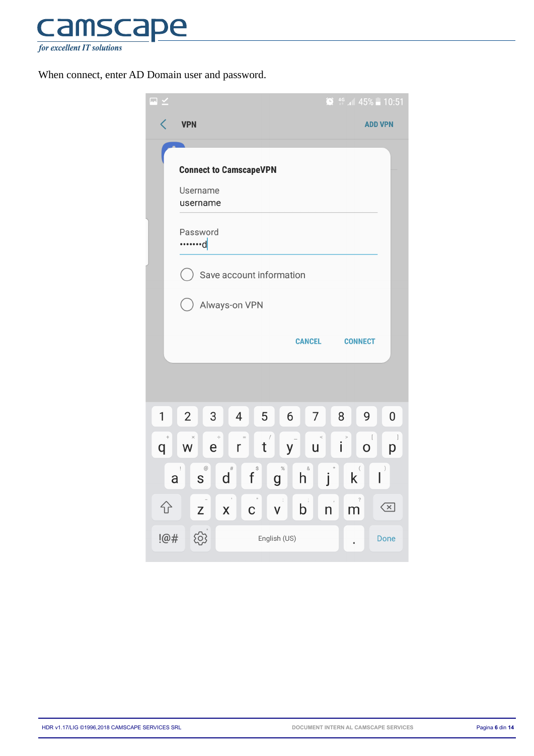

When connect, enter AD Domain user and password.

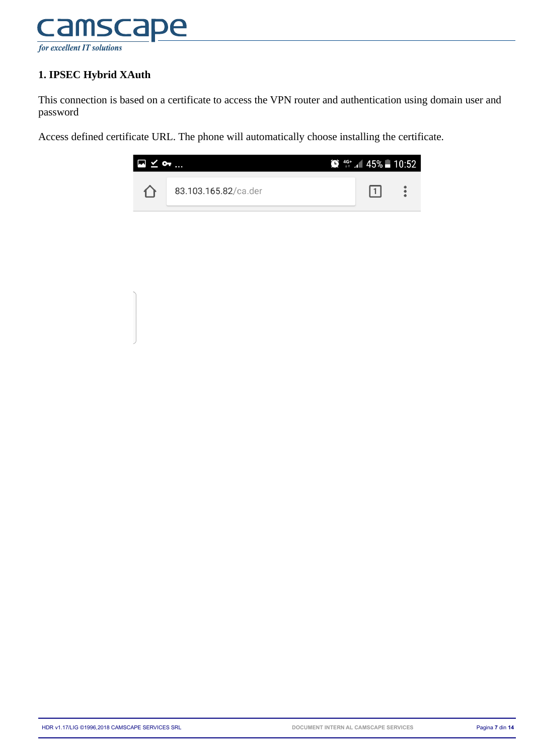

# **1. IPSEC Hybrid XAuth**

This connection is based on a certificate to access the VPN router and authentication using domain user and password

Access defined certificate URL. The phone will automatically choose installing the certificate.

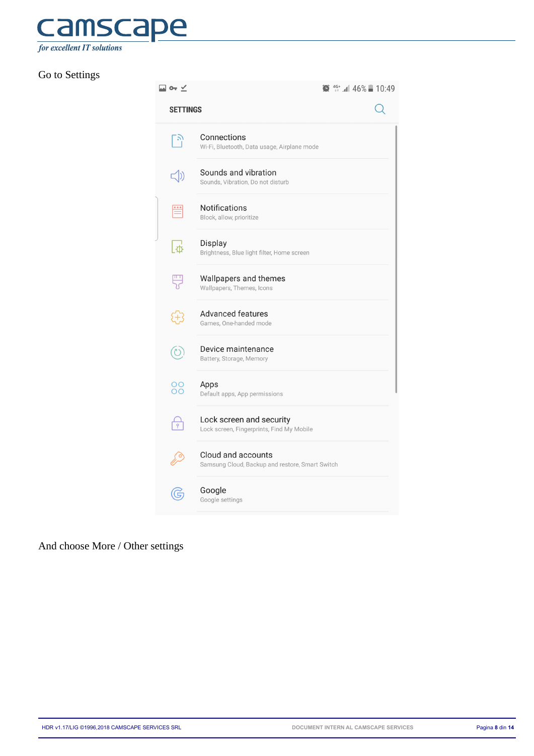

# Go to Settings

| ⊡ ⊶ ⊻ |                         |                                                                       | $\bullet$ $46^{\circ}$ $\cdot$ $\bullet$ $41$ 46% $\bullet$ 10:49 |
|-------|-------------------------|-----------------------------------------------------------------------|-------------------------------------------------------------------|
|       | <b>SETTINGS</b>         |                                                                       |                                                                   |
|       | رد_                     | Connections<br>Wi-Fi, Bluetooth, Data usage, Airplane mode            |                                                                   |
|       | ( )                     | Sounds and vibration<br>Sounds, Vibration, Do not disturb             |                                                                   |
|       |                         | Notifications<br>Block, allow, prioritize                             |                                                                   |
|       | $\overline{\mathbb{Q}}$ | Display<br>Brightness, Blue light filter, Home screen                 |                                                                   |
|       |                         | Wallpapers and themes<br>Wallpapers, Themes, Icons                    |                                                                   |
|       | ť                       | <b>Advanced features</b><br>Games, One-handed mode                    |                                                                   |
|       | $\odot$                 | Device maintenance<br>Battery, Storage, Memory                        |                                                                   |
|       | $\frac{00}{00}$         | Apps<br>Default apps, App permissions                                 |                                                                   |
|       | $\frac{\Box}{\gamma}$   | Lock screen and security<br>Lock screen, Fingerprints, Find My Mobile |                                                                   |
|       |                         | Cloud and accounts<br>Samsung Cloud, Backup and restore, Smart Switch |                                                                   |
|       |                         | Google<br>Google settings                                             |                                                                   |

And choose More / Other settings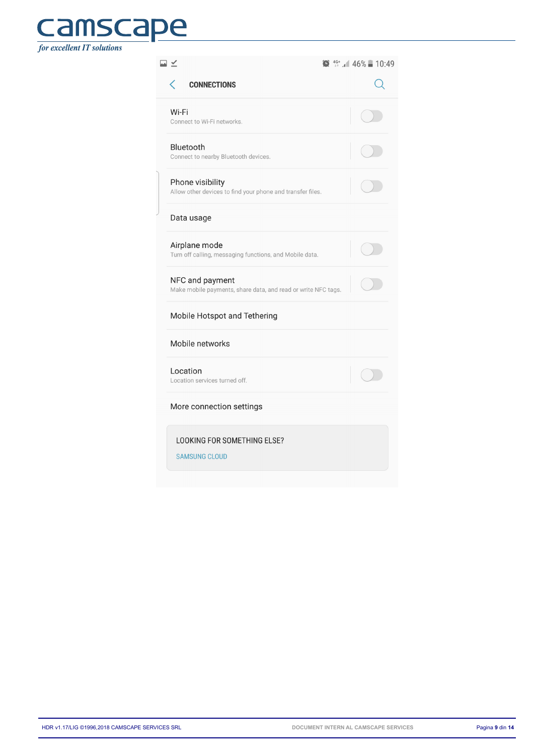

|                                                                                  | $\bullet$ $46^{\circ}$ $\bullet$ 46% 10:49 |
|----------------------------------------------------------------------------------|--------------------------------------------|
| <b>CONNECTIONS</b>                                                               |                                            |
| Wi-Fi<br>Connect to Wi-Fi networks.                                              |                                            |
| Bluetooth<br>Connect to nearby Bluetooth devices.                                |                                            |
| Phone visibility<br>Allow other devices to find your phone and transfer files.   |                                            |
| Data usage                                                                       |                                            |
| Airplane mode<br>Turn off calling, messaging functions, and Mobile data.         |                                            |
| NFC and payment<br>Make mobile payments, share data, and read or write NFC tags. |                                            |
| Mobile Hotspot and Tethering                                                     |                                            |
| Mobile networks                                                                  |                                            |
| Location<br>Location services turned off.                                        |                                            |
| More connection settings                                                         |                                            |
| <b>LOOKING FOR SOMETHING ELSE?</b><br><b>SAMSUNG CLOUD</b>                       |                                            |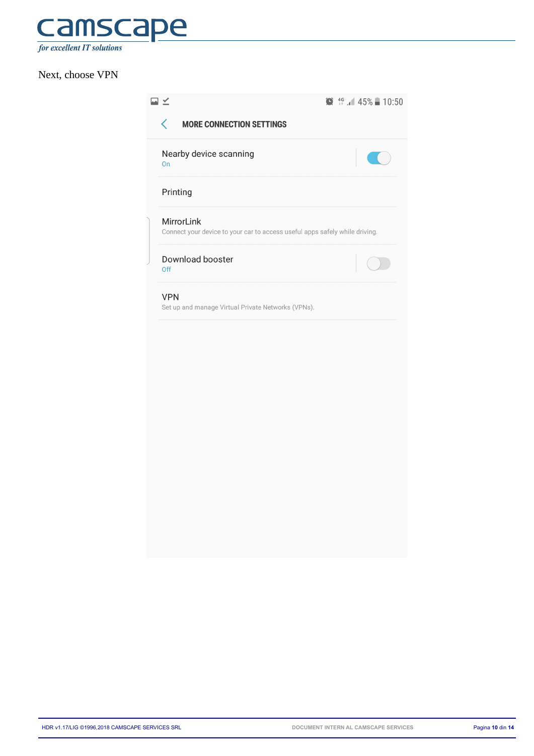

#### Next, choose VPN

| コビ                                                                                        | $\bullet$ $^{46}$ $\cdot$ 45% 10:50 |
|-------------------------------------------------------------------------------------------|-------------------------------------|
| <b>MORE CONNECTION SETTINGS</b><br>ぐ                                                      |                                     |
| Nearby device scanning<br>On                                                              |                                     |
| Printing                                                                                  |                                     |
| MirrorLink<br>Connect your device to your car to access useful apps safely while driving. |                                     |
| Download booster<br>Off                                                                   |                                     |
| <b>VPN</b><br>Set up and manage Virtual Private Networks (VPNs).                          |                                     |
|                                                                                           |                                     |
|                                                                                           |                                     |
|                                                                                           |                                     |
|                                                                                           |                                     |
|                                                                                           |                                     |
|                                                                                           |                                     |
|                                                                                           |                                     |
|                                                                                           |                                     |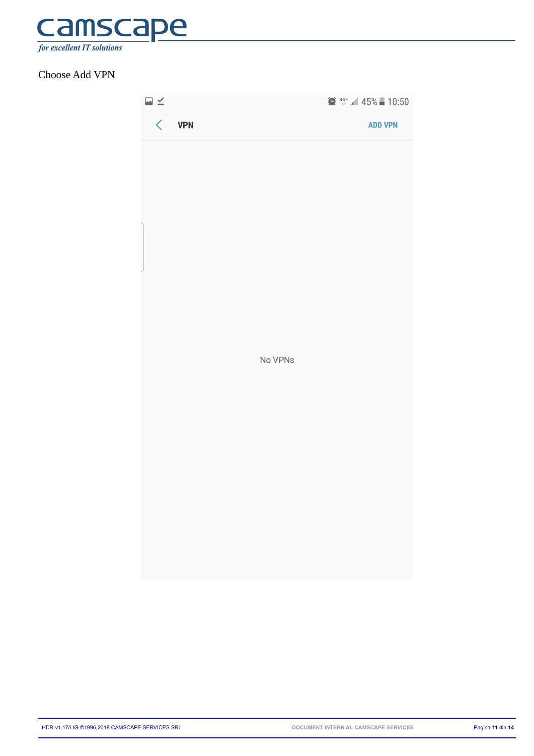

## Choose Add VPN

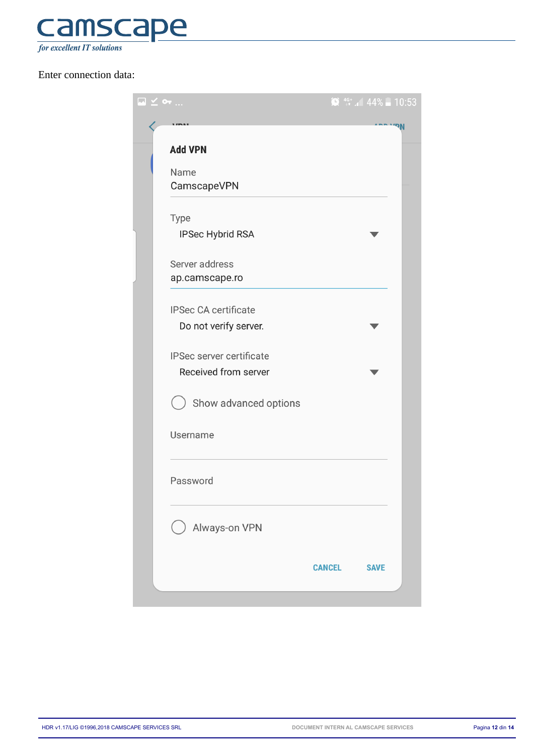

# Enter connection data:

| $\blacksquare$ $\leq$ OT    |               | $\bullet$ $^{46+}$ $\bullet$ 44% 10:53 |
|-----------------------------|---------------|----------------------------------------|
| <b>Add VPN</b>              |               |                                        |
| Name                        |               |                                        |
| CamscapeVPN                 |               |                                        |
| Type                        |               |                                        |
| IPSec Hybrid RSA            |               |                                        |
| Server address              |               |                                        |
| ap.camscape.ro              |               |                                        |
| <b>IPSec CA certificate</b> |               |                                        |
| Do not verify server.       |               |                                        |
| IPSec server certificate    |               |                                        |
| Received from server        |               |                                        |
| Show advanced options       |               |                                        |
| Username                    |               |                                        |
| Password                    |               |                                        |
| Always-on VPN               |               |                                        |
|                             | <b>CANCEL</b> | <b>SAVE</b>                            |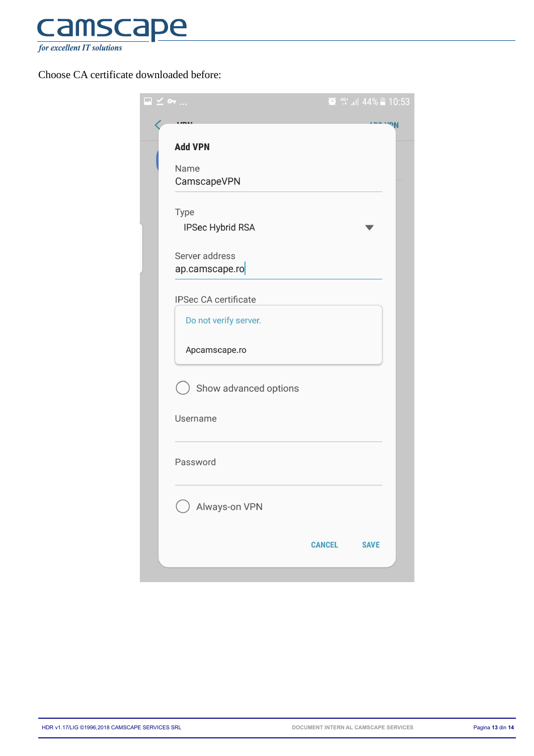

Choose CA certificate downloaded before:

| $\overline{\phantom{a}}$ $\leq$ 07 |               | $\bullet$ $46+$ $.44\%$ 10:53 |
|------------------------------------|---------------|-------------------------------|
|                                    |               | $N_{\rm tot}$                 |
| <b>Add VPN</b>                     |               |                               |
| Name<br>CamscapeVPN                |               |                               |
| Type                               |               |                               |
| IPSec Hybrid RSA                   |               |                               |
| Server address<br>ap.camscape.ro   |               |                               |
| <b>IPSec CA certificate</b>        |               |                               |
| Do not verify server.              |               |                               |
| Apcamscape.ro                      |               |                               |
| Show advanced options              |               |                               |
| Username                           |               |                               |
| Password                           |               |                               |
| Always-on VPN                      |               |                               |
|                                    | <b>CANCEL</b> | <b>SAVE</b>                   |